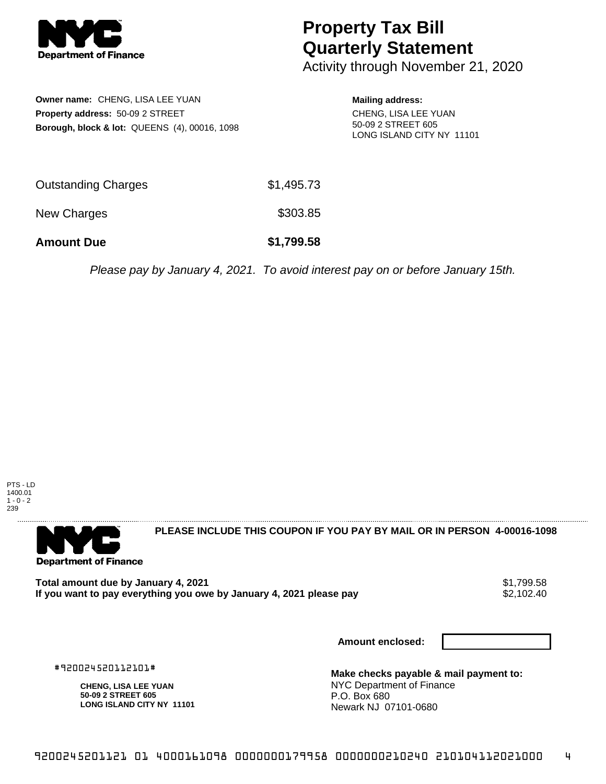

## **Property Tax Bill Quarterly Statement**

Activity through November 21, 2020

**Owner name:** CHENG, LISA LEE YUAN **Property address:** 50-09 2 STREET **Borough, block & lot:** QUEENS (4), 00016, 1098 **Mailing address:** CHENG, LISA LEE YUAN 50-09 2 STREET 605 LONG ISLAND CITY NY 11101

| <b>Amount Due</b>   | \$1,799.58 |
|---------------------|------------|
| New Charges         | \$303.85   |
| Outstanding Charges | \$1,495.73 |

Please pay by January 4, 2021. To avoid interest pay on or before January 15th.



. . . . . . . . . . . . . . . .



**PLEASE INCLUDE THIS COUPON IF YOU PAY BY MAIL OR IN PERSON 4-00016-1098** 

**Total amount due by January 4, 2021**<br>If you want to pay everything you owe by January 4, 2021 please pay **show that the set of the set of the set of** If you want to pay everything you owe by January 4, 2021 please pay

**Amount enclosed:**

#920024520112101#

**CHENG, LISA LEE YUAN 50-09 2 STREET 605 LONG ISLAND CITY NY 11101**

**Make checks payable & mail payment to:** NYC Department of Finance P.O. Box 680 Newark NJ 07101-0680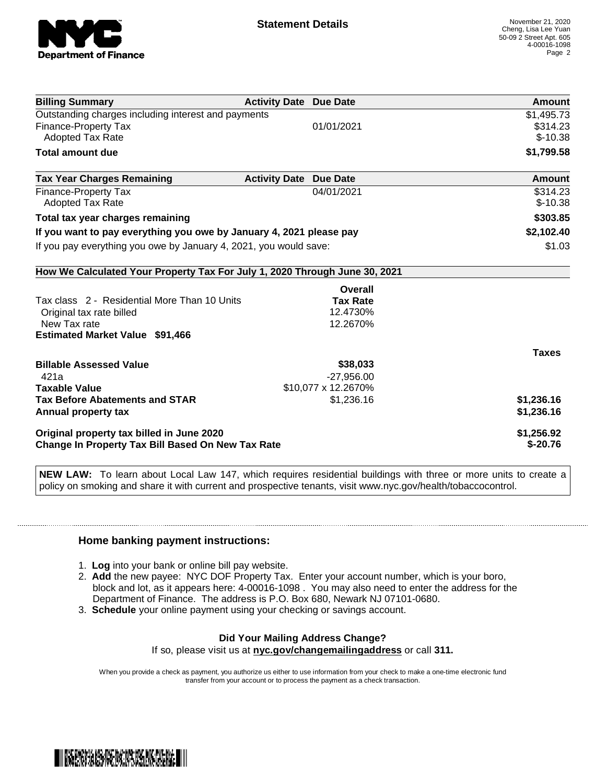

| <b>Billing Summary</b>                                                     | <b>Activity Date Due Date</b>           | Amount       |
|----------------------------------------------------------------------------|-----------------------------------------|--------------|
| Outstanding charges including interest and payments                        |                                         | \$1,495.73   |
| <b>Finance-Property Tax</b>                                                | 01/01/2021                              | \$314.23     |
| <b>Adopted Tax Rate</b>                                                    |                                         | $$-10.38$    |
| <b>Total amount due</b>                                                    |                                         | \$1,799.58   |
| <b>Tax Year Charges Remaining</b>                                          | <b>Activity Date</b><br><b>Due Date</b> | Amount       |
| Finance-Property Tax                                                       | 04/01/2021                              | \$314.23     |
| <b>Adopted Tax Rate</b>                                                    |                                         | $$-10.38$    |
| Total tax year charges remaining                                           |                                         | \$303.85     |
| If you want to pay everything you owe by January 4, 2021 please pay        |                                         | \$2,102.40   |
| If you pay everything you owe by January 4, 2021, you would save:          |                                         | \$1.03       |
| How We Calculated Your Property Tax For July 1, 2020 Through June 30, 2021 |                                         |              |
|                                                                            | Overall                                 |              |
| Tax class 2 - Residential More Than 10 Units                               | <b>Tax Rate</b>                         |              |
| Original tax rate billed                                                   | 12.4730%                                |              |
| New Tax rate                                                               | 12.2670%                                |              |
| <b>Estimated Market Value \$91,466</b>                                     |                                         |              |
|                                                                            |                                         | <b>Taxes</b> |
| <b>Billable Assessed Value</b>                                             | \$38,033                                |              |
| 421a                                                                       | $-27,956.00$                            |              |
| <b>Taxable Value</b>                                                       | \$10,077 x 12.2670%                     |              |
| <b>Tax Before Abatements and STAR</b>                                      | \$1,236.16                              | \$1,236.16   |
| Annual property tax                                                        |                                         | \$1,236.16   |
| Original property tax billed in June 2020                                  |                                         | \$1,256.92   |
| <b>Change In Property Tax Bill Based On New Tax Rate</b>                   |                                         | $$-20.76$    |

**NEW LAW:** To learn about Local Law 147, which requires residential buildings with three or more units to create a policy on smoking and share it with current and prospective tenants, visit www.nyc.gov/health/tobaccocontrol.

## **Home banking payment instructions:**

- 1. **Log** into your bank or online bill pay website.
- 2. **Add** the new payee: NYC DOF Property Tax. Enter your account number, which is your boro, block and lot, as it appears here: 4-00016-1098 . You may also need to enter the address for the Department of Finance. The address is P.O. Box 680, Newark NJ 07101-0680.
- 3. **Schedule** your online payment using your checking or savings account.

## **Did Your Mailing Address Change?**

If so, please visit us at **nyc.gov/changemailingaddress** or call **311.**

When you provide a check as payment, you authorize us either to use information from your check to make a one-time electronic fund transfer from your account or to process the payment as a check transaction.